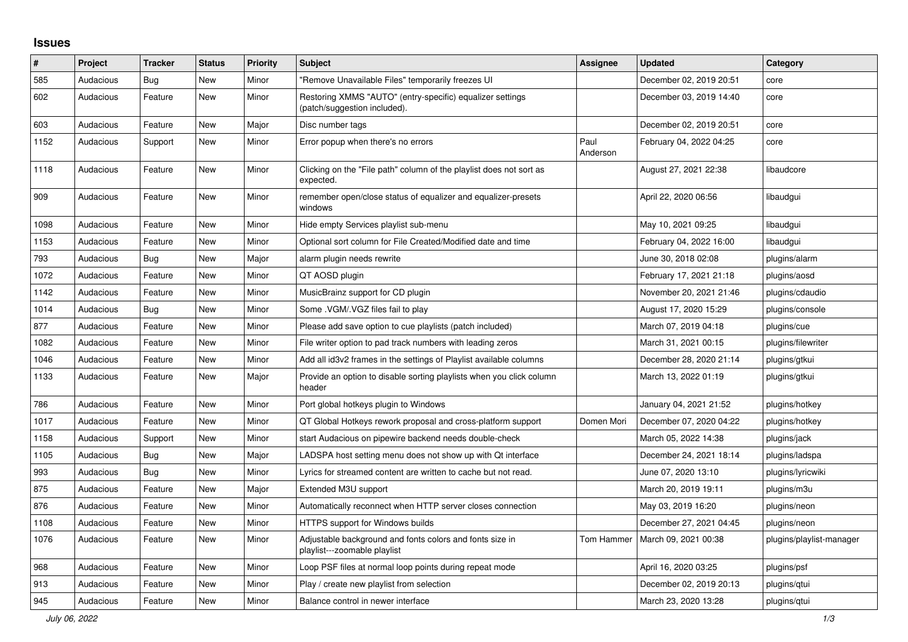## **Issues**

| ∦    | Project   | <b>Tracker</b> | <b>Status</b> | <b>Priority</b> | <b>Subject</b>                                                                            | <b>Assignee</b>  | <b>Updated</b>          | Category                 |
|------|-----------|----------------|---------------|-----------------|-------------------------------------------------------------------------------------------|------------------|-------------------------|--------------------------|
| 585  | Audacious | <b>Bug</b>     | <b>New</b>    | Minor           | "Remove Unavailable Files" temporarily freezes UI                                         |                  | December 02, 2019 20:51 | core                     |
| 602  | Audacious | Feature        | New           | Minor           | Restoring XMMS "AUTO" (entry-specific) equalizer settings<br>(patch/suggestion included). |                  | December 03, 2019 14:40 | core                     |
| 603  | Audacious | Feature        | <b>New</b>    | Major           | Disc number tags                                                                          |                  | December 02, 2019 20:51 | core                     |
| 1152 | Audacious | Support        | New           | Minor           | Error popup when there's no errors                                                        | Paul<br>Anderson | February 04, 2022 04:25 | core                     |
| 1118 | Audacious | Feature        | <b>New</b>    | Minor           | Clicking on the "File path" column of the playlist does not sort as<br>expected.          |                  | August 27, 2021 22:38   | libaudcore               |
| 909  | Audacious | Feature        | New           | Minor           | remember open/close status of equalizer and equalizer-presets<br>windows                  |                  | April 22, 2020 06:56    | libaudgui                |
| 1098 | Audacious | Feature        | <b>New</b>    | Minor           | Hide empty Services playlist sub-menu                                                     |                  | May 10, 2021 09:25      | libaudgui                |
| 1153 | Audacious | Feature        | New           | Minor           | Optional sort column for File Created/Modified date and time                              |                  | February 04, 2022 16:00 | libaudgui                |
| 793  | Audacious | Bug            | New           | Major           | alarm plugin needs rewrite                                                                |                  | June 30, 2018 02:08     | plugins/alarm            |
| 1072 | Audacious | Feature        | <b>New</b>    | Minor           | QT AOSD plugin                                                                            |                  | February 17, 2021 21:18 | plugins/aosd             |
| 1142 | Audacious | Feature        | <b>New</b>    | Minor           | MusicBrainz support for CD plugin                                                         |                  | November 20, 2021 21:46 | plugins/cdaudio          |
| 1014 | Audacious | Bug            | <b>New</b>    | Minor           | Some .VGM/.VGZ files fail to play                                                         |                  | August 17, 2020 15:29   | plugins/console          |
| 877  | Audacious | Feature        | <b>New</b>    | Minor           | Please add save option to cue playlists (patch included)                                  |                  | March 07, 2019 04:18    | plugins/cue              |
| 1082 | Audacious | Feature        | <b>New</b>    | Minor           | File writer option to pad track numbers with leading zeros                                |                  | March 31, 2021 00:15    | plugins/filewriter       |
| 1046 | Audacious | Feature        | New           | Minor           | Add all id3v2 frames in the settings of Playlist available columns                        |                  | December 28, 2020 21:14 | plugins/gtkui            |
| 1133 | Audacious | Feature        | New           | Major           | Provide an option to disable sorting playlists when you click column<br>header            |                  | March 13, 2022 01:19    | plugins/gtkui            |
| 786  | Audacious | Feature        | New           | Minor           | Port global hotkeys plugin to Windows                                                     |                  | January 04, 2021 21:52  | plugins/hotkey           |
| 1017 | Audacious | Feature        | <b>New</b>    | Minor           | QT Global Hotkeys rework proposal and cross-platform support                              | Domen Mori       | December 07, 2020 04:22 | plugins/hotkey           |
| 1158 | Audacious | Support        | <b>New</b>    | Minor           | start Audacious on pipewire backend needs double-check                                    |                  | March 05, 2022 14:38    | plugins/jack             |
| 1105 | Audacious | Bug            | <b>New</b>    | Major           | LADSPA host setting menu does not show up with Qt interface                               |                  | December 24, 2021 18:14 | plugins/ladspa           |
| 993  | Audacious | Bug            | <b>New</b>    | Minor           | Lyrics for streamed content are written to cache but not read.                            |                  | June 07, 2020 13:10     | plugins/lyricwiki        |
| 875  | Audacious | Feature        | <b>New</b>    | Major           | Extended M3U support                                                                      |                  | March 20, 2019 19:11    | plugins/m3u              |
| 876  | Audacious | Feature        | <b>New</b>    | Minor           | Automatically reconnect when HTTP server closes connection                                |                  | May 03, 2019 16:20      | plugins/neon             |
| 1108 | Audacious | Feature        | New           | Minor           | <b>HTTPS support for Windows builds</b>                                                   |                  | December 27, 2021 04:45 | plugins/neon             |
| 1076 | Audacious | Feature        | New           | Minor           | Adjustable background and fonts colors and fonts size in<br>playlist---zoomable playlist  | Tom Hammer       | March 09, 2021 00:38    | plugins/playlist-manager |
| 968  | Audacious | Feature        | New           | Minor           | Loop PSF files at normal loop points during repeat mode                                   |                  | April 16, 2020 03:25    | plugins/psf              |
| 913  | Audacious | Feature        | New           | Minor           | Play / create new playlist from selection                                                 |                  | December 02, 2019 20:13 | plugins/qtui             |
| 945  | Audacious | Feature        | <b>New</b>    | Minor           | Balance control in newer interface                                                        |                  | March 23, 2020 13:28    | plugins/gtui             |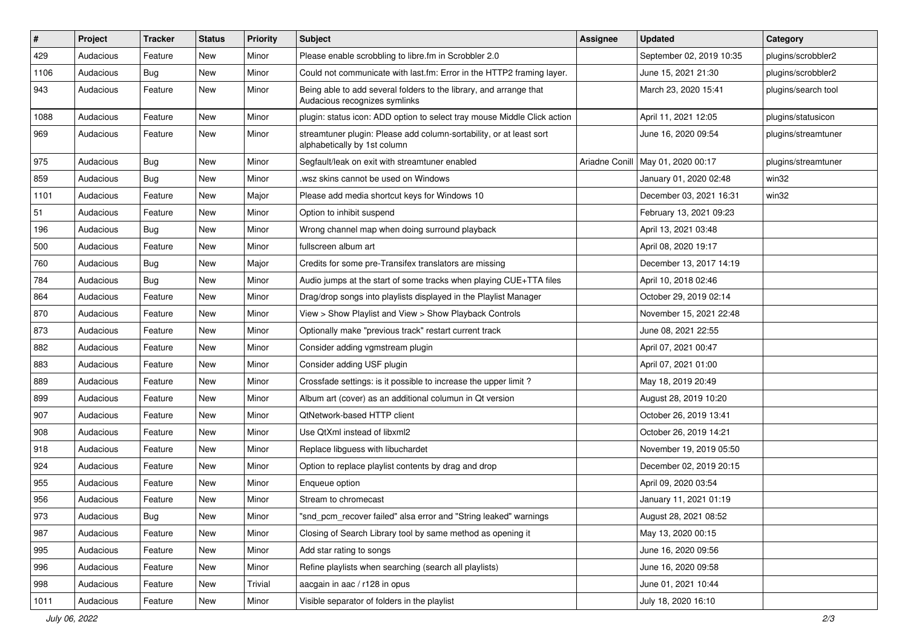| $\vert$ # | Project   | <b>Tracker</b> | <b>Status</b> | <b>Priority</b> | Subject                                                                                             | <b>Assignee</b> | <b>Updated</b>                      | Category            |
|-----------|-----------|----------------|---------------|-----------------|-----------------------------------------------------------------------------------------------------|-----------------|-------------------------------------|---------------------|
| 429       | Audacious | Feature        | New           | Minor           | Please enable scrobbling to libre.fm in Scrobbler 2.0                                               |                 | September 02, 2019 10:35            | plugins/scrobbler2  |
| 1106      | Audacious | Bug            | <b>New</b>    | Minor           | Could not communicate with last.fm: Error in the HTTP2 framing layer.                               |                 | June 15, 2021 21:30                 | plugins/scrobbler2  |
| 943       | Audacious | Feature        | New           | Minor           | Being able to add several folders to the library, and arrange that<br>Audacious recognizes symlinks |                 | March 23, 2020 15:41                | plugins/search tool |
| 1088      | Audacious | Feature        | <b>New</b>    | Minor           | plugin: status icon: ADD option to select tray mouse Middle Click action                            |                 | April 11, 2021 12:05                | plugins/statusicon  |
| 969       | Audacious | Feature        | New           | Minor           | streamtuner plugin: Please add column-sortability, or at least sort<br>alphabetically by 1st column |                 | June 16, 2020 09:54                 | plugins/streamtuner |
| 975       | Audacious | Bug            | New           | Minor           | Segfault/leak on exit with streamtuner enabled                                                      |                 | Ariadne Conill   May 01, 2020 00:17 | plugins/streamtuner |
| 859       | Audacious | <b>Bug</b>     | <b>New</b>    | Minor           | wsz skins cannot be used on Windows                                                                 |                 | January 01, 2020 02:48              | win32               |
| 1101      | Audacious | Feature        | <b>New</b>    | Major           | Please add media shortcut keys for Windows 10                                                       |                 | December 03, 2021 16:31             | win32               |
| 51        | Audacious | Feature        | New           | Minor           | Option to inhibit suspend                                                                           |                 | February 13, 2021 09:23             |                     |
| 196       | Audacious | <b>Bug</b>     | <b>New</b>    | Minor           | Wrong channel map when doing surround playback                                                      |                 | April 13, 2021 03:48                |                     |
| 500       | Audacious | Feature        | <b>New</b>    | Minor           | fullscreen album art                                                                                |                 | April 08, 2020 19:17                |                     |
| 760       | Audacious | <b>Bug</b>     | New           | Major           | Credits for some pre-Transifex translators are missing                                              |                 | December 13, 2017 14:19             |                     |
| 784       | Audacious | <b>Bug</b>     | <b>New</b>    | Minor           | Audio jumps at the start of some tracks when playing CUE+TTA files                                  |                 | April 10, 2018 02:46                |                     |
| 864       | Audacious | Feature        | New           | Minor           | Drag/drop songs into playlists displayed in the Playlist Manager                                    |                 | October 29, 2019 02:14              |                     |
| 870       | Audacious | Feature        | New           | Minor           | View > Show Playlist and View > Show Playback Controls                                              |                 | November 15, 2021 22:48             |                     |
| 873       | Audacious | Feature        | <b>New</b>    | Minor           | Optionally make "previous track" restart current track                                              |                 | June 08, 2021 22:55                 |                     |
| 882       | Audacious | Feature        | New           | Minor           | Consider adding vgmstream plugin                                                                    |                 | April 07, 2021 00:47                |                     |
| 883       | Audacious | Feature        | New           | Minor           | Consider adding USF plugin                                                                          |                 | April 07, 2021 01:00                |                     |
| 889       | Audacious | Feature        | New           | Minor           | Crossfade settings: is it possible to increase the upper limit?                                     |                 | May 18, 2019 20:49                  |                     |
| 899       | Audacious | Feature        | New           | Minor           | Album art (cover) as an additional columun in Qt version                                            |                 | August 28, 2019 10:20               |                     |
| 907       | Audacious | Feature        | <b>New</b>    | Minor           | QtNetwork-based HTTP client                                                                         |                 | October 26, 2019 13:41              |                     |
| 908       | Audacious | Feature        | New           | Minor           | Use QtXml instead of libxml2                                                                        |                 | October 26, 2019 14:21              |                     |
| 918       | Audacious | Feature        | New           | Minor           | Replace libguess with libuchardet                                                                   |                 | November 19, 2019 05:50             |                     |
| 924       | Audacious | Feature        | <b>New</b>    | Minor           | Option to replace playlist contents by drag and drop                                                |                 | December 02, 2019 20:15             |                     |
| 955       | Audacious | Feature        | New           | Minor           | Enqueue option                                                                                      |                 | April 09, 2020 03:54                |                     |
| 956       | Audacious | Feature        | <b>New</b>    | Minor           | Stream to chromecast                                                                                |                 | January 11, 2021 01:19              |                     |
| 973       | Audacious | <b>Bug</b>     | New           | Minor           | "snd_pcm_recover failed" alsa error and "String leaked" warnings                                    |                 | August 28, 2021 08:52               |                     |
| 987       | Audacious | Feature        | New           | Minor           | Closing of Search Library tool by same method as opening it                                         |                 | May 13, 2020 00:15                  |                     |
| 995       | Audacious | Feature        | New           | Minor           | Add star rating to songs                                                                            |                 | June 16, 2020 09:56                 |                     |
| 996       | Audacious | Feature        | New           | Minor           | Refine playlists when searching (search all playlists)                                              |                 | June 16, 2020 09:58                 |                     |
| 998       | Audacious | Feature        | New           | Trivial         | aacgain in aac / r128 in opus                                                                       |                 | June 01, 2021 10:44                 |                     |
| 1011      | Audacious | Feature        | New           | Minor           | Visible separator of folders in the playlist                                                        |                 | July 18, 2020 16:10                 |                     |